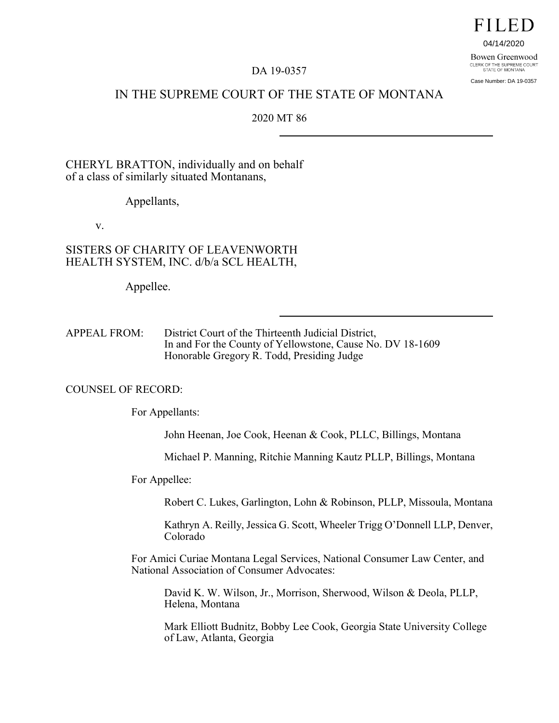# **FILED**

04/14/2020

Bowen Greenwood CLERK OF THE SUPREME COURT<br>STATE OF MONTANA

Case Number: DA 19-0357

### DA 19-0357

# IN THE SUPREME COURT OF THE STATE OF MONTANA

2020 MT 86

CHERYL BRATTON, individually and on behalf of a class of similarly situated Montanans,

Appellants,

v.

## SISTERS OF CHARITY OF LEAVENWORTH HEALTH SYSTEM, INC. d/b/a SCL HEALTH,

Appellee.

APPEAL FROM: District Court of the Thirteenth Judicial District, In and For the County of Yellowstone, Cause No. DV 18-1609 Honorable Gregory R. Todd, Presiding Judge

### COUNSEL OF RECORD:

For Appellants:

John Heenan, Joe Cook, Heenan & Cook, PLLC, Billings, Montana

Michael P. Manning, Ritchie Manning Kautz PLLP, Billings, Montana

For Appellee:

Robert C. Lukes, Garlington, Lohn & Robinson, PLLP, Missoula, Montana

Kathryn A. Reilly, Jessica G. Scott, Wheeler Trigg O'Donnell LLP, Denver, Colorado

For Amici Curiae Montana Legal Services, National Consumer Law Center, and National Association of Consumer Advocates:

David K. W. Wilson, Jr., Morrison, Sherwood, Wilson & Deola, PLLP, Helena, Montana

Mark Elliott Budnitz, Bobby Lee Cook, Georgia State University College of Law, Atlanta, Georgia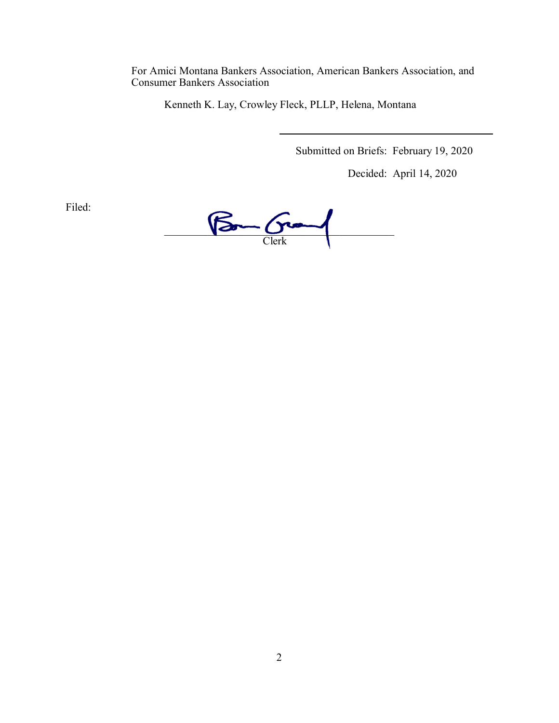For Amici Montana Bankers Association, American Bankers Association, and Consumer Bankers Association

Kenneth K. Lay, Crowley Fleck, PLLP, Helena, Montana

Submitted on Briefs: February 19, 2020

Decided: April 14, 2020

Filed:

 $\sqrt{2}$ Clerk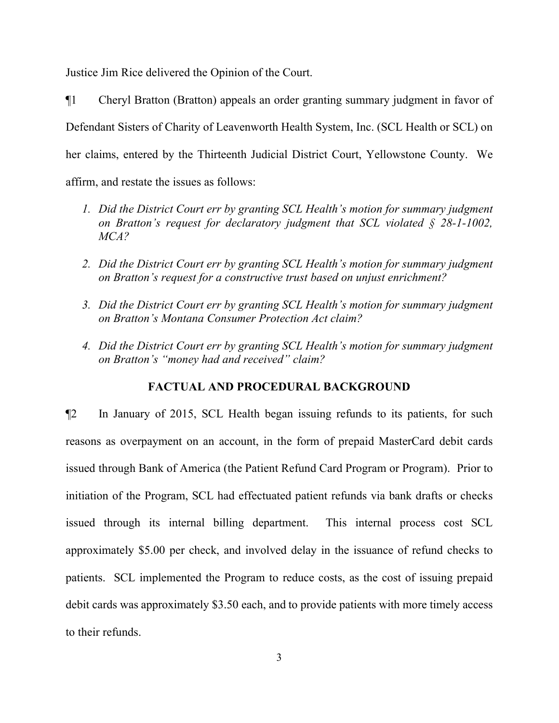Justice Jim Rice delivered the Opinion of the Court.

¶1 Cheryl Bratton (Bratton) appeals an order granting summary judgment in favor of Defendant Sisters of Charity of Leavenworth Health System, Inc. (SCL Health or SCL) on her claims, entered by the Thirteenth Judicial District Court, Yellowstone County. We affirm, and restate the issues as follows:

- *1. Did the District Court err by granting SCL Health's motion for summary judgment on Bratton's request for declaratory judgment that SCL violated § 28-1-1002, MCA?*
- 2. *Did the District Court err by granting SCL Health's motion for summary judgment on Bratton's request for a constructive trust based on unjust enrichment?*
- *3. Did the District Court err by granting SCL Health's motion for summary judgment on Bratton's Montana Consumer Protection Act claim?*
- *4. Did the District Court err by granting SCL Health's motion for summary judgment on Bratton's "money had and received" claim?*

## **FACTUAL AND PROCEDURAL BACKGROUND**

¶2 In January of 2015, SCL Health began issuing refunds to its patients, for such reasons as overpayment on an account, in the form of prepaid MasterCard debit cards issued through Bank of America (the Patient Refund Card Program or Program). Prior to initiation of the Program, SCL had effectuated patient refunds via bank drafts or checks issued through its internal billing department. This internal process cost SCL approximately \$5.00 per check, and involved delay in the issuance of refund checks to patients. SCL implemented the Program to reduce costs, as the cost of issuing prepaid debit cards was approximately \$3.50 each, and to provide patients with more timely access to their refunds.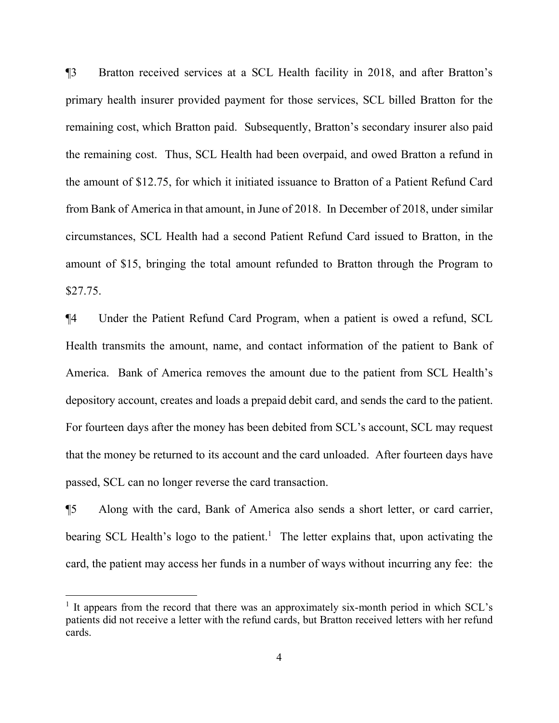¶3 Bratton received services at a SCL Health facility in 2018, and after Bratton's primary health insurer provided payment for those services, SCL billed Bratton for the remaining cost, which Bratton paid. Subsequently, Bratton's secondary insurer also paid the remaining cost. Thus, SCL Health had been overpaid, and owed Bratton a refund in the amount of \$12.75, for which it initiated issuance to Bratton of a Patient Refund Card from Bank of America in that amount, in June of 2018. In December of 2018, under similar circumstances, SCL Health had a second Patient Refund Card issued to Bratton, in the amount of \$15, bringing the total amount refunded to Bratton through the Program to \$27.75.

¶4 Under the Patient Refund Card Program, when a patient is owed a refund, SCL Health transmits the amount, name, and contact information of the patient to Bank of America. Bank of America removes the amount due to the patient from SCL Health's depository account, creates and loads a prepaid debit card, and sends the card to the patient. For fourteen days after the money has been debited from SCL's account, SCL may request that the money be returned to its account and the card unloaded. After fourteen days have passed, SCL can no longer reverse the card transaction.

¶5 Along with the card, Bank of America also sends a short letter, or card carrier, bearing SCL Health's logo to the patient.<sup>[1](#page-3-0)</sup> The letter explains that, upon activating the card, the patient may access her funds in a number of ways without incurring any fee: the

<span id="page-3-0"></span><sup>&</sup>lt;sup>1</sup> It appears from the record that there was an approximately six-month period in which SCL's patients did not receive a letter with the refund cards, but Bratton received letters with her refund cards.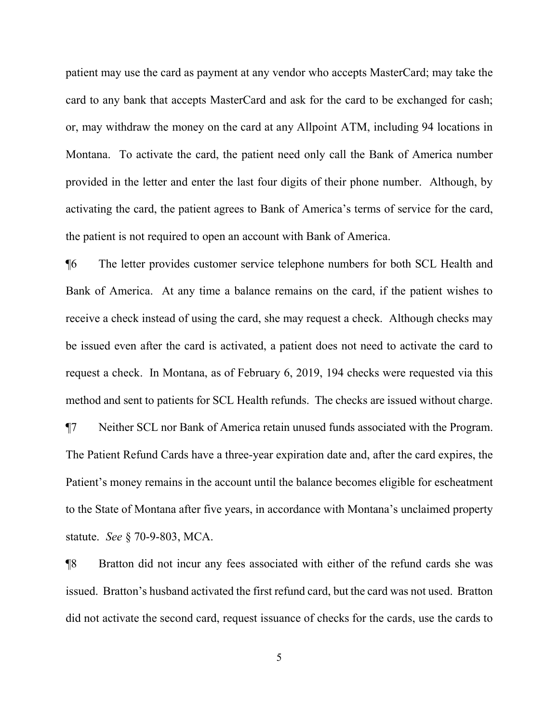patient may use the card as payment at any vendor who accepts MasterCard; may take the card to any bank that accepts MasterCard and ask for the card to be exchanged for cash; or, may withdraw the money on the card at any Allpoint ATM, including 94 locations in Montana. To activate the card, the patient need only call the Bank of America number provided in the letter and enter the last four digits of their phone number. Although, by activating the card, the patient agrees to Bank of America's terms of service for the card, the patient is not required to open an account with Bank of America.

¶6 The letter provides customer service telephone numbers for both SCL Health and Bank of America. At any time a balance remains on the card, if the patient wishes to receive a check instead of using the card, she may request a check. Although checks may be issued even after the card is activated, a patient does not need to activate the card to request a check. In Montana, as of February 6, 2019, 194 checks were requested via this method and sent to patients for SCL Health refunds. The checks are issued without charge. ¶7 Neither SCL nor Bank of America retain unused funds associated with the Program. The Patient Refund Cards have a three-year expiration date and, after the card expires, the Patient's money remains in the account until the balance becomes eligible for escheatment to the State of Montana after five years, in accordance with Montana's unclaimed property statute. *See* § 70-9-803, MCA.

¶8 Bratton did not incur any fees associated with either of the refund cards she was issued. Bratton's husband activated the first refund card, but the card was not used. Bratton did not activate the second card, request issuance of checks for the cards, use the cards to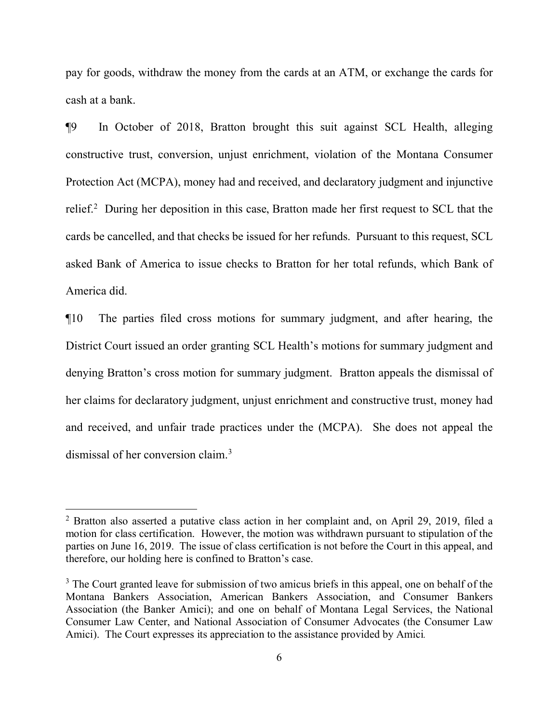pay for goods, withdraw the money from the cards at an ATM, or exchange the cards for cash at a bank.

¶9 In October of 2018, Bratton brought this suit against SCL Health, alleging constructive trust, conversion, unjust enrichment, violation of the Montana Consumer Protection Act (MCPA), money had and received, and declaratory judgment and injunctive relief.<sup>[2](#page-5-0)</sup> During her deposition in this case, Bratton made her first request to SCL that the cards be cancelled, and that checks be issued for her refunds. Pursuant to this request, SCL asked Bank of America to issue checks to Bratton for her total refunds, which Bank of America did.

¶10 The parties filed cross motions for summary judgment, and after hearing, the District Court issued an order granting SCL Health's motions for summary judgment and denying Bratton's cross motion for summary judgment. Bratton appeals the dismissal of her claims for declaratory judgment, unjust enrichment and constructive trust, money had and received, and unfair trade practices under the (MCPA). She does not appeal the dismissal of her conversion claim.[3](#page-5-1)

<span id="page-5-0"></span><sup>2</sup> Bratton also asserted a putative class action in her complaint and, on April 29, 2019, filed a motion for class certification. However, the motion was withdrawn pursuant to stipulation of the parties on June 16, 2019. The issue of class certification is not before the Court in this appeal, and therefore, our holding here is confined to Bratton's case.

<span id="page-5-1"></span><sup>&</sup>lt;sup>3</sup> The Court granted leave for submission of two amicus briefs in this appeal, one on behalf of the Montana Bankers Association, American Bankers Association, and Consumer Bankers Association (the Banker Amici); and one on behalf of Montana Legal Services, the National Consumer Law Center, and National Association of Consumer Advocates (the Consumer Law Amici). The Court expresses its appreciation to the assistance provided by Amici.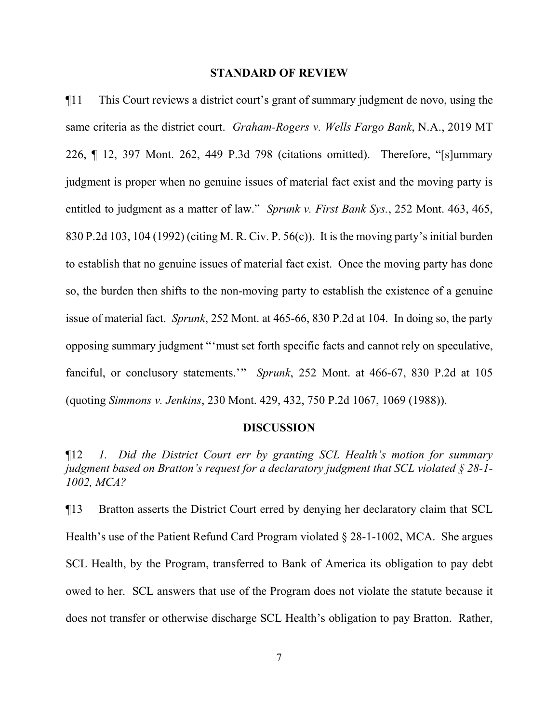#### **STANDARD OF REVIEW**

¶11 This Court reviews a district court's grant of summary judgment de novo, using the same criteria as the district court. *Graham-Rogers v. Wells Fargo Bank*, N.A., 2019 MT 226, ¶ 12, 397 Mont. 262, 449 P.3d 798 (citations omitted). Therefore, "[s]ummary judgment is proper when no genuine issues of material fact exist and the moving party is entitled to judgment as a matter of law." *Sprunk v. First Bank Sys.*, 252 Mont. 463, 465, 830 P.2d 103, 104 (1992) (citing M. R. Civ. P. 56(c)). It is the moving party's initial burden to establish that no genuine issues of material fact exist. Once the moving party has done so, the burden then shifts to the non-moving party to establish the existence of a genuine issue of material fact. *Sprunk*, 252 Mont. at 465-66, 830 P.2d at 104. In doing so, the party opposing summary judgment "'must set forth specific facts and cannot rely on speculative, fanciful, or conclusory statements.'" *Sprunk*, 252 Mont. at 466-67, 830 P.2d at 105 (quoting *Simmons v. Jenkins*, 230 Mont. 429, 432, 750 P.2d 1067, 1069 (1988)).

#### **DISCUSSION**

¶12 *1. Did the District Court err by granting SCL Health's motion for summary judgment based on Bratton's request for a declaratory judgment that SCL violated § 28-1- 1002, MCA?*

¶13 Bratton asserts the District Court erred by denying her declaratory claim that SCL Health's use of the Patient Refund Card Program violated § 28-1-1002, MCA. She argues SCL Health, by the Program, transferred to Bank of America its obligation to pay debt owed to her. SCL answers that use of the Program does not violate the statute because it does not transfer or otherwise discharge SCL Health's obligation to pay Bratton. Rather,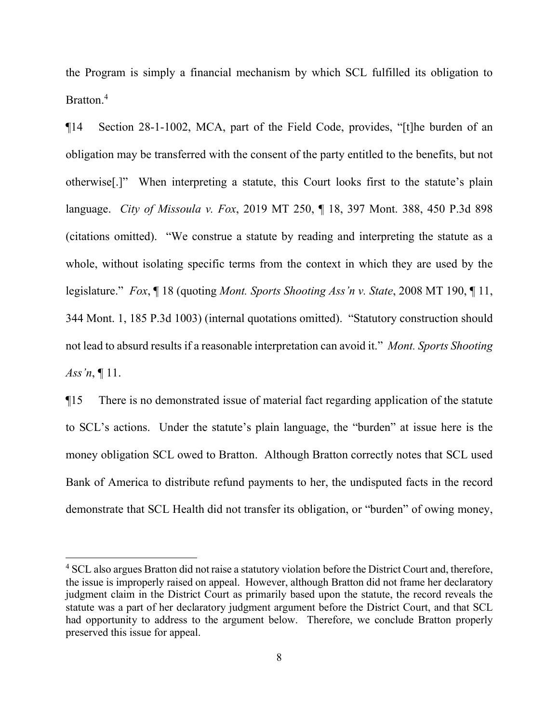the Program is simply a financial mechanism by which SCL fulfilled its obligation to Bratton.<sup>[4](#page-7-0)</sup>

¶14 Section 28-1-1002, MCA, part of the Field Code, provides, "[t]he burden of an obligation may be transferred with the consent of the party entitled to the benefits, but not otherwise[.]" When interpreting a statute, this Court looks first to the statute's plain language. *City of Missoula v. Fox*, 2019 MT 250, ¶ 18, 397 Mont. 388, 450 P.3d 898 (citations omitted). "We construe a statute by reading and interpreting the statute as a whole, without isolating specific terms from the context in which they are used by the legislature." *Fox*, ¶ 18 (quoting *Mont. Sports Shooting Ass'n v. State*, 2008 MT 190, ¶ 11, 344 Mont. 1, 185 P.3d 1003) (internal quotations omitted). "Statutory construction should not lead to absurd results if a reasonable interpretation can avoid it." *Mont. Sports Shooting Ass'n*, ¶ 11.

¶15 There is no demonstrated issue of material fact regarding application of the statute to SCL's actions. Under the statute's plain language, the "burden" at issue here is the money obligation SCL owed to Bratton. Although Bratton correctly notes that SCL used Bank of America to distribute refund payments to her, the undisputed facts in the record demonstrate that SCL Health did not transfer its obligation, or "burden" of owing money,

<span id="page-7-0"></span><sup>&</sup>lt;sup>4</sup> SCL also argues Bratton did not raise a statutory violation before the District Court and, therefore, the issue is improperly raised on appeal. However, although Bratton did not frame her declaratory judgment claim in the District Court as primarily based upon the statute, the record reveals the statute was a part of her declaratory judgment argument before the District Court, and that SCL had opportunity to address to the argument below. Therefore, we conclude Bratton properly preserved this issue for appeal.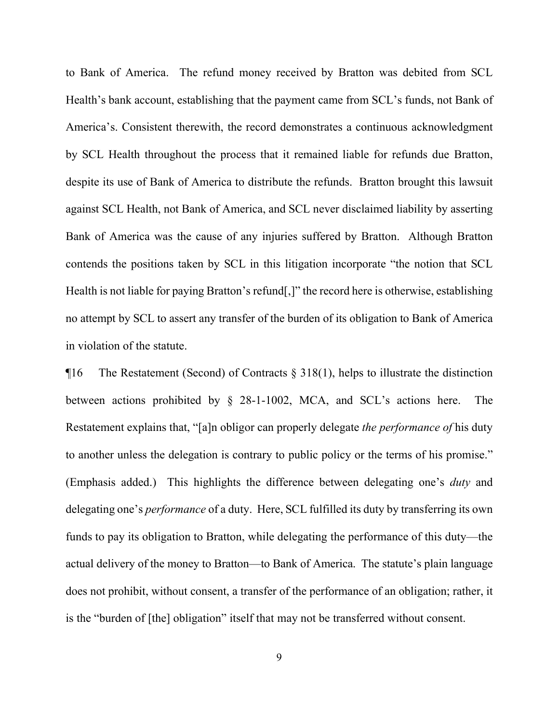to Bank of America. The refund money received by Bratton was debited from SCL Health's bank account, establishing that the payment came from SCL's funds, not Bank of America's. Consistent therewith, the record demonstrates a continuous acknowledgment by SCL Health throughout the process that it remained liable for refunds due Bratton, despite its use of Bank of America to distribute the refunds. Bratton brought this lawsuit against SCL Health, not Bank of America, and SCL never disclaimed liability by asserting Bank of America was the cause of any injuries suffered by Bratton. Although Bratton contends the positions taken by SCL in this litigation incorporate "the notion that SCL Health is not liable for paying Bratton's refund[,]" the record here is otherwise, establishing no attempt by SCL to assert any transfer of the burden of its obligation to Bank of America in violation of the statute.

**The Restatement (Second) of Contracts**  $\S$  **318(1), helps to illustrate the distinction** between actions prohibited by § 28-1-1002, MCA, and SCL's actions here. The Restatement explains that, "[a]n obligor can properly delegate *the performance of* his duty to another unless the delegation is contrary to public policy or the terms of his promise." (Emphasis added.) This highlights the difference between delegating one's *duty* and delegating one's *performance* of a duty. Here, SCL fulfilled its duty by transferring its own funds to pay its obligation to Bratton, while delegating the performance of this duty—the actual delivery of the money to Bratton—to Bank of America. The statute's plain language does not prohibit, without consent, a transfer of the performance of an obligation; rather, it is the "burden of [the] obligation" itself that may not be transferred without consent.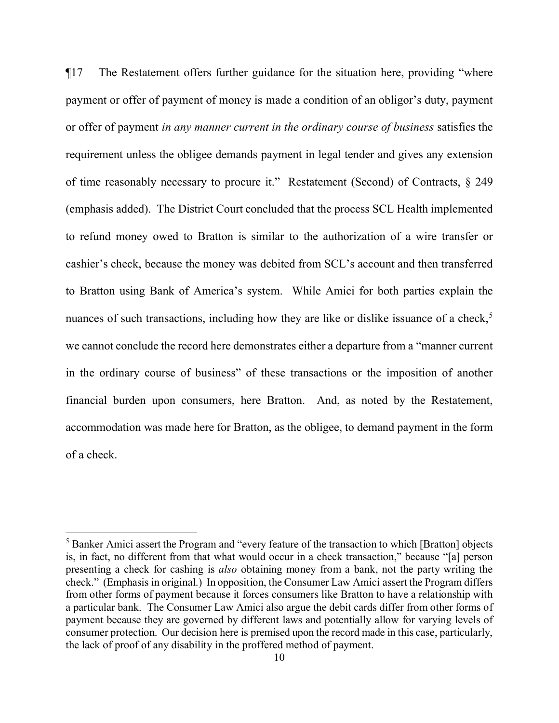¶17 The Restatement offers further guidance for the situation here, providing "where payment or offer of payment of money is made a condition of an obligor's duty, payment or offer of payment *in any manner current in the ordinary course of business* satisfies the requirement unless the obligee demands payment in legal tender and gives any extension of time reasonably necessary to procure it." Restatement (Second) of Contracts, § 249 (emphasis added). The District Court concluded that the process SCL Health implemented to refund money owed to Bratton is similar to the authorization of a wire transfer or cashier's check, because the money was debited from SCL's account and then transferred to Bratton using Bank of America's system. While Amici for both parties explain the nuances of such transactions, including how they are like or dislike issuance of a check,<sup>[5](#page-9-0)</sup> we cannot conclude the record here demonstrates either a departure from a "manner current in the ordinary course of business" of these transactions or the imposition of another financial burden upon consumers, here Bratton. And, as noted by the Restatement, accommodation was made here for Bratton, as the obligee, to demand payment in the form of a check.

<span id="page-9-0"></span><sup>&</sup>lt;sup>5</sup> Banker Amici assert the Program and "every feature of the transaction to which [Bratton] objects is, in fact, no different from that what would occur in a check transaction," because "[a] person presenting a check for cashing is *also* obtaining money from a bank, not the party writing the check." (Emphasis in original.) In opposition, the Consumer Law Amici assert the Program differs from other forms of payment because it forces consumers like Bratton to have a relationship with a particular bank. The Consumer Law Amici also argue the debit cards differ from other forms of payment because they are governed by different laws and potentially allow for varying levels of consumer protection. Our decision here is premised upon the record made in this case, particularly, the lack of proof of any disability in the proffered method of payment.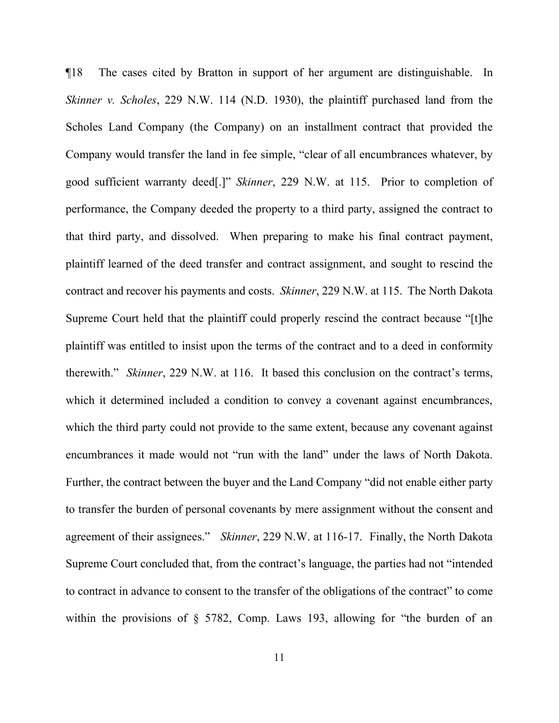¶18 The cases cited by Bratton in support of her argument are distinguishable. In *Skinner v. Scholes*, 229 N.W. 114 (N.D. 1930), the plaintiff purchased land from the Scholes Land Company (the Company) on an installment contract that provided the Company would transfer the land in fee simple, "clear of all encumbrances whatever, by good sufficient warranty deed[.]" *Skinner*, 229 N.W. at 115. Prior to completion of performance, the Company deeded the property to a third party, assigned the contract to that third party, and dissolved. When preparing to make his final contract payment, plaintiff learned of the deed transfer and contract assignment, and sought to rescind the contract and recover his payments and costs. *Skinner*, 229 N.W. at 115. The North Dakota Supreme Court held that the plaintiff could properly rescind the contract because "[t]he plaintiff was entitled to insist upon the terms of the contract and to a deed in conformity therewith." *Skinner*, 229 N.W. at 116. It based this conclusion on the contract's terms, which it determined included a condition to convey a covenant against encumbrances, which the third party could not provide to the same extent, because any covenant against encumbrances it made would not "run with the land" under the laws of North Dakota. Further, the contract between the buyer and the Land Company "did not enable either party to transfer the burden of personal covenants by mere assignment without the consent and agreement of their assignees." *Skinner*, 229 N.W. at 116-17. Finally, the North Dakota Supreme Court concluded that, from the contract's language, the parties had not "intended to contract in advance to consent to the transfer of the obligations of the contract" to come within the provisions of  $\S$  5782, Comp. Laws 193, allowing for "the burden of an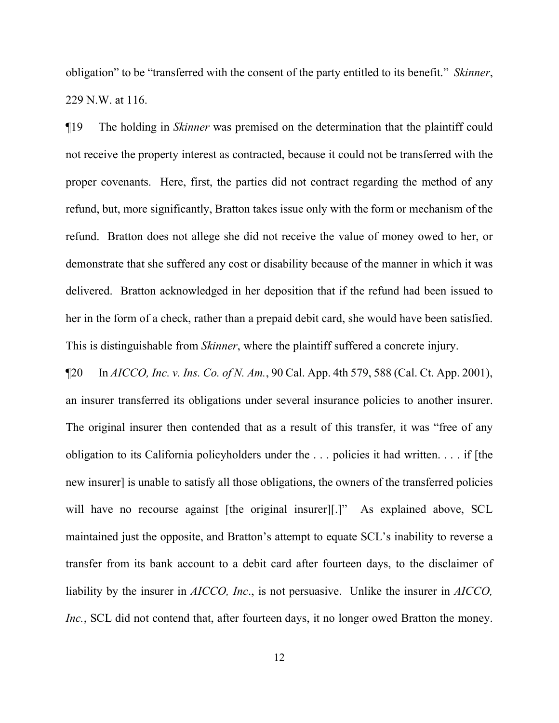obligation" to be "transferred with the consent of the party entitled to its benefit." *Skinner*, 229 N.W. at 116.

¶19 The holding in *Skinner* was premised on the determination that the plaintiff could not receive the property interest as contracted, because it could not be transferred with the proper covenants. Here, first, the parties did not contract regarding the method of any refund, but, more significantly, Bratton takes issue only with the form or mechanism of the refund. Bratton does not allege she did not receive the value of money owed to her, or demonstrate that she suffered any cost or disability because of the manner in which it was delivered. Bratton acknowledged in her deposition that if the refund had been issued to her in the form of a check, rather than a prepaid debit card, she would have been satisfied. This is distinguishable from *Skinner*, where the plaintiff suffered a concrete injury.

¶20 In *AICCO, Inc. v. Ins. Co. of N. Am.*, 90 Cal. App. 4th 579, 588 (Cal. Ct. App. 2001), an insurer transferred its obligations under several insurance policies to another insurer. The original insurer then contended that as a result of this transfer, it was "free of any obligation to its California policyholders under the . . . policies it had written. . . . if [the new insurer] is unable to satisfy all those obligations, the owners of the transferred policies will have no recourse against [the original insurer][.]" As explained above, SCL maintained just the opposite, and Bratton's attempt to equate SCL's inability to reverse a transfer from its bank account to a debit card after fourteen days, to the disclaimer of liability by the insurer in *AICCO, Inc*., is not persuasive. Unlike the insurer in *AICCO, Inc.*, SCL did not contend that, after fourteen days, it no longer owed Bratton the money.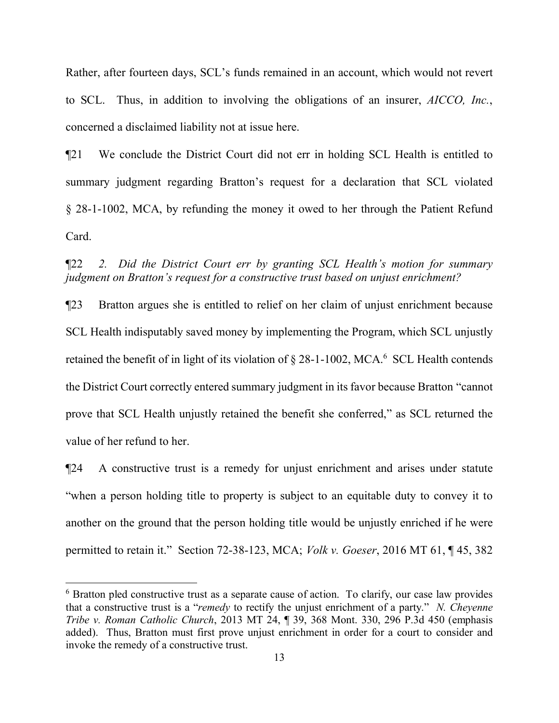Rather, after fourteen days, SCL's funds remained in an account, which would not revert to SCL. Thus, in addition to involving the obligations of an insurer, *AICCO, Inc.*, concerned a disclaimed liability not at issue here.

¶21 We conclude the District Court did not err in holding SCL Health is entitled to summary judgment regarding Bratton's request for a declaration that SCL violated § 28-1-1002, MCA, by refunding the money it owed to her through the Patient Refund Card.

¶22 *2. Did the District Court err by granting SCL Health's motion for summary judgment on Bratton's request for a constructive trust based on unjust enrichment?*

¶23 Bratton argues she is entitled to relief on her claim of unjust enrichment because SCL Health indisputably saved money by implementing the Program, which SCL unjustly retained the benefit of in light of its violation of § 28-1-1002, MCA.<sup>[6](#page-12-0)</sup> SCL Health contends the District Court correctly entered summary judgment in its favor because Bratton "cannot prove that SCL Health unjustly retained the benefit she conferred," as SCL returned the value of her refund to her.

¶24 A constructive trust is a remedy for unjust enrichment and arises under statute "when a person holding title to property is subject to an equitable duty to convey it to another on the ground that the person holding title would be unjustly enriched if he were permitted to retain it." Section 72-38-123, MCA; *Volk v. Goeser*, 2016 MT 61, ¶ 45, 382

<span id="page-12-0"></span><sup>&</sup>lt;sup>6</sup> Bratton pled constructive trust as a separate cause of action. To clarify, our case law provides that a constructive trust is a "*remedy* to rectify the unjust enrichment of a party." *N. Cheyenne Tribe v. Roman Catholic Church*, 2013 MT 24, ¶ 39, 368 Mont. 330, 296 P.3d 450 (emphasis added). Thus, Bratton must first prove unjust enrichment in order for a court to consider and invoke the remedy of a constructive trust.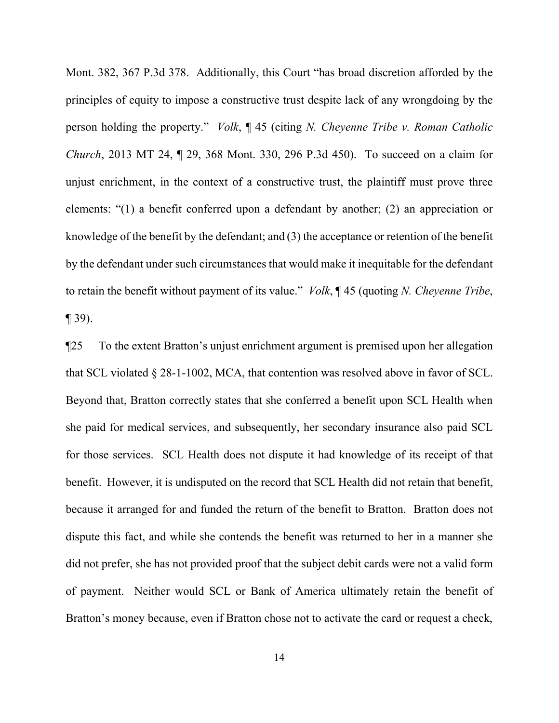Mont. 382, 367 P.3d 378. Additionally, this Court "has broad discretion afforded by the principles of equity to impose a constructive trust despite lack of any wrongdoing by the person holding the property." *Volk*, ¶ 45 (citing *N. Cheyenne Tribe v. Roman Catholic Church*, 2013 MT 24, ¶ 29, 368 Mont. 330, 296 P.3d 450). To succeed on a claim for unjust enrichment, in the context of a constructive trust, the plaintiff must prove three elements: "(1) a benefit conferred upon a defendant by another; (2) an appreciation or knowledge of the benefit by the defendant; and (3) the acceptance or retention of the benefit by the defendant under such circumstances that would make it inequitable for the defendant to retain the benefit without payment of its value." *Volk*, ¶ 45 (quoting *N. Cheyenne Tribe*, ¶ 39).

¶25 To the extent Bratton's unjust enrichment argument is premised upon her allegation that SCL violated § 28-1-1002, MCA, that contention was resolved above in favor of SCL. Beyond that, Bratton correctly states that she conferred a benefit upon SCL Health when she paid for medical services, and subsequently, her secondary insurance also paid SCL for those services. SCL Health does not dispute it had knowledge of its receipt of that benefit. However, it is undisputed on the record that SCL Health did not retain that benefit, because it arranged for and funded the return of the benefit to Bratton. Bratton does not dispute this fact, and while she contends the benefit was returned to her in a manner she did not prefer, she has not provided proof that the subject debit cards were not a valid form of payment. Neither would SCL or Bank of America ultimately retain the benefit of Bratton's money because, even if Bratton chose not to activate the card or request a check,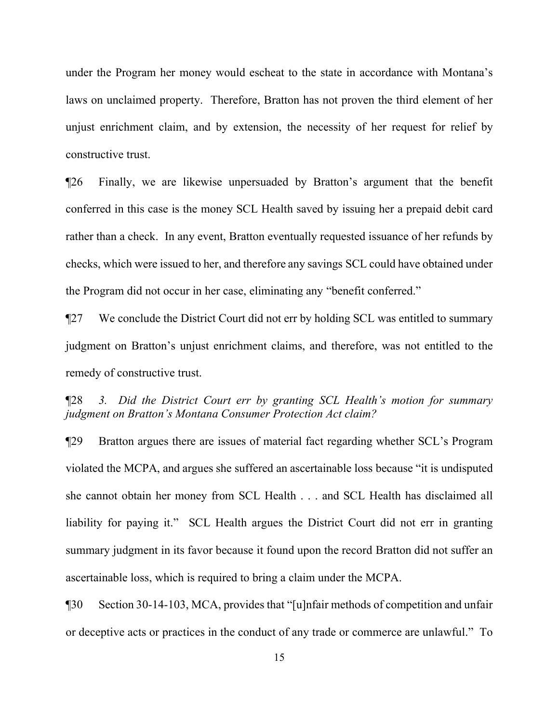under the Program her money would escheat to the state in accordance with Montana's laws on unclaimed property. Therefore, Bratton has not proven the third element of her unjust enrichment claim, and by extension, the necessity of her request for relief by constructive trust.

¶26 Finally, we are likewise unpersuaded by Bratton's argument that the benefit conferred in this case is the money SCL Health saved by issuing her a prepaid debit card rather than a check. In any event, Bratton eventually requested issuance of her refunds by checks, which were issued to her, and therefore any savings SCL could have obtained under the Program did not occur in her case, eliminating any "benefit conferred."

¶27 We conclude the District Court did not err by holding SCL was entitled to summary judgment on Bratton's unjust enrichment claims, and therefore, was not entitled to the remedy of constructive trust.

¶28 *3. Did the District Court err by granting SCL Health's motion for summary judgment on Bratton's Montana Consumer Protection Act claim?* 

¶29 Bratton argues there are issues of material fact regarding whether SCL's Program violated the MCPA, and argues she suffered an ascertainable loss because "it is undisputed she cannot obtain her money from SCL Health . . . and SCL Health has disclaimed all liability for paying it." SCL Health argues the District Court did not err in granting summary judgment in its favor because it found upon the record Bratton did not suffer an ascertainable loss, which is required to bring a claim under the MCPA.

¶30 Section 30-14-103, MCA, provides that "[u]nfair methods of competition and unfair or deceptive acts or practices in the conduct of any trade or commerce are unlawful." To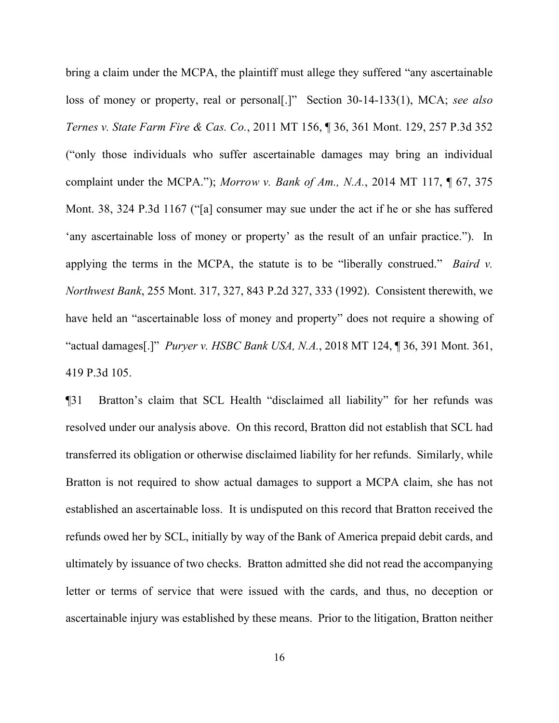bring a claim under the MCPA, the plaintiff must allege they suffered "any ascertainable loss of money or property, real or personal[.]" Section 30-14-133(1), MCA; *see also Ternes v. State Farm Fire & Cas. Co.*, 2011 MT 156, ¶ 36, 361 Mont. 129, 257 P.3d 352 ("only those individuals who suffer ascertainable damages may bring an individual complaint under the MCPA."); *Morrow v. Bank of Am., N.A.*, 2014 MT 117, ¶ 67, 375 Mont. 38, 324 P.3d 1167 ("[a] consumer may sue under the act if he or she has suffered 'any ascertainable loss of money or property' as the result of an unfair practice."). In applying the terms in the MCPA, the statute is to be "liberally construed." *Baird v. Northwest Bank*, 255 Mont. 317, 327, 843 P.2d 327, 333 (1992). Consistent therewith, we have held an "ascertainable loss of money and property" does not require a showing of "actual damages[.]" *Puryer v. HSBC Bank USA, N.A.*, 2018 MT 124, ¶ 36, 391 Mont. 361, 419 P.3d 105.

¶31 Bratton's claim that SCL Health "disclaimed all liability" for her refunds was resolved under our analysis above. On this record, Bratton did not establish that SCL had transferred its obligation or otherwise disclaimed liability for her refunds. Similarly, while Bratton is not required to show actual damages to support a MCPA claim, she has not established an ascertainable loss. It is undisputed on this record that Bratton received the refunds owed her by SCL, initially by way of the Bank of America prepaid debit cards, and ultimately by issuance of two checks. Bratton admitted she did not read the accompanying letter or terms of service that were issued with the cards, and thus, no deception or ascertainable injury was established by these means. Prior to the litigation, Bratton neither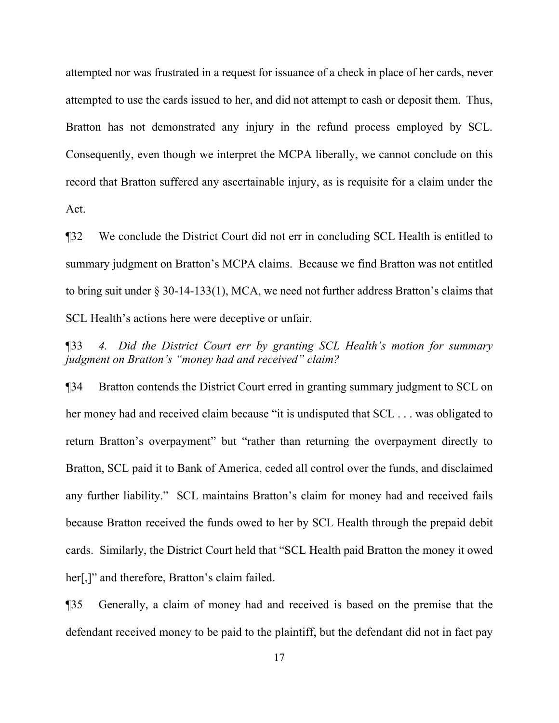attempted nor was frustrated in a request for issuance of a check in place of her cards, never attempted to use the cards issued to her, and did not attempt to cash or deposit them. Thus, Bratton has not demonstrated any injury in the refund process employed by SCL. Consequently, even though we interpret the MCPA liberally, we cannot conclude on this record that Bratton suffered any ascertainable injury, as is requisite for a claim under the Act.

¶32 We conclude the District Court did not err in concluding SCL Health is entitled to summary judgment on Bratton's MCPA claims. Because we find Bratton was not entitled to bring suit under § 30-14-133(1), MCA, we need not further address Bratton's claims that SCL Health's actions here were deceptive or unfair.

¶33 *4. Did the District Court err by granting SCL Health's motion for summary judgment on Bratton's "money had and received" claim?*

¶34 Bratton contends the District Court erred in granting summary judgment to SCL on her money had and received claim because "it is undisputed that SCL . . . was obligated to return Bratton's overpayment" but "rather than returning the overpayment directly to Bratton, SCL paid it to Bank of America, ceded all control over the funds, and disclaimed any further liability." SCL maintains Bratton's claim for money had and received fails because Bratton received the funds owed to her by SCL Health through the prepaid debit cards. Similarly, the District Court held that "SCL Health paid Bratton the money it owed her[,]" and therefore, Bratton's claim failed.

¶35 Generally, a claim of money had and received is based on the premise that the defendant received money to be paid to the plaintiff, but the defendant did not in fact pay